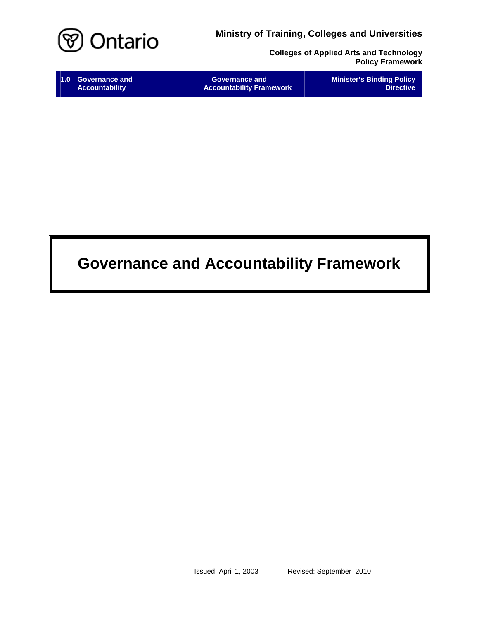

**Colleges of Applied Arts and Technology Policy Framework**

| 1.0 Governance and    | <b>Governance and</b>           | <b>Minister's Binding Policy</b> |
|-----------------------|---------------------------------|----------------------------------|
| <b>Accountability</b> | <b>Accountability Framework</b> | <b>Directive</b>                 |

# **Governance and Accountability Framework**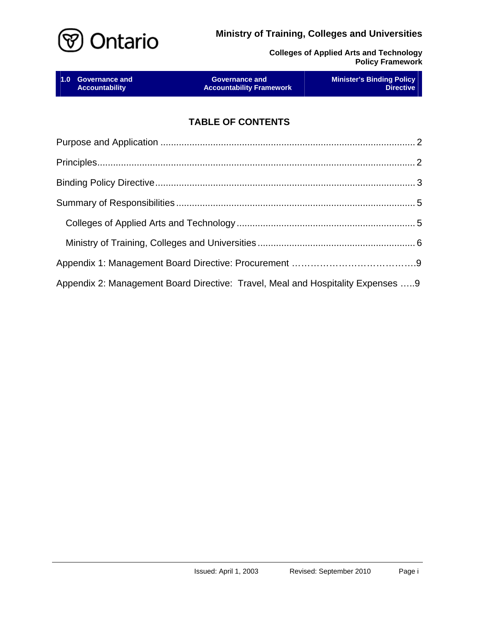

**Colleges of Applied Arts and Technology Policy Framework**

| 1.0 Governance and    | <b>Governance and </b>          | <b>Minister's Binding Policy</b> |
|-----------------------|---------------------------------|----------------------------------|
| <b>Accountability</b> | <b>Accountability Framework</b> | <b>Directive</b>                 |
|                       |                                 |                                  |

# **TABLE OF CONTENTS**

| Appendix 2: Management Board Directive: Travel, Meal and Hospitality Expenses 9 |  |
|---------------------------------------------------------------------------------|--|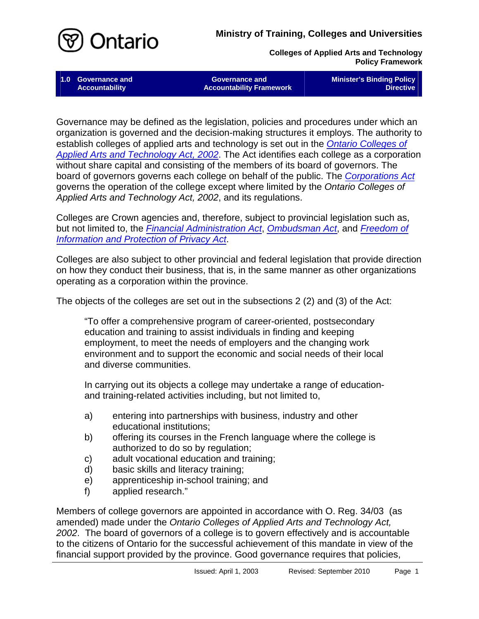

**Colleges of Applied Arts and Technology Policy Framework**

**1.0 Governance and Accountability** 

**Governance and Accountability Framework**  **Minister's Binding Policy Directive** 

Governance may be defined as the legislation, policies and procedures under which an organization is governed and the decision-making structures it employs. The authority to establish colleges of applied arts and technology is set out in the *[Ontario Colleges of](http://www.e-laws.gov.on.ca/DBLaws/Statutes/English/02o08f_e.htm)  [Applied Arts and Technology Act, 2002](http://www.e-laws.gov.on.ca/DBLaws/Statutes/English/02o08f_e.htm)*. The Act identifies each college as a corporation without share capital and consisting of the members of its board of governors. The board of governors governs each college on behalf of the public. The *[Corporations Act](http://192.75.156.68/DBLaws/Statutes/English/90c38_e.htm)* governs the operation of the college except where limited by the *Ontario Colleges of Applied Arts and Technology Act, 2002*, and its regulations.

Colleges are Crown agencies and, therefore, subject to provincial legislation such as, but not limited to, the *[Financial Administration Act](http://192.75.156.68/DBLaws/Statutes/English/90f12_e.htm)*, *[Ombudsman Act](http://192.75.156.68/DBLaws/Statutes/English/90o06_e.htm)*, and *[Freedom of](http://192.75.156.68/DBLaws/Statutes/English/90f31_e.htm)  [Information and Protection of Privacy Act](http://192.75.156.68/DBLaws/Statutes/English/90f31_e.htm)*.

Colleges are also subject to other provincial and federal legislation that provide direction on how they conduct their business, that is, in the same manner as other organizations operating as a corporation within the province.

The objects of the colleges are set out in the subsections 2 (2) and (3) of the Act:

"To offer a comprehensive program of career-oriented, postsecondary education and training to assist individuals in finding and keeping employment, to meet the needs of employers and the changing work environment and to support the economic and social needs of their local and diverse communities.

In carrying out its objects a college may undertake a range of educationand training-related activities including, but not limited to,

- a) entering into partnerships with business, industry and other educational institutions;
- b) offering its courses in the French language where the college is authorized to do so by regulation;
- c) adult vocational education and training;
- d) basic skills and literacy training;
- e) apprenticeship in-school training; and
- f) applied research."

Members of college governors are appointed in accordance with O. Reg. 34/03 (as amended) made under the *Ontario Colleges of Applied Arts and Technology Act, 2002*. The board of governors of a college is to govern effectively and is accountable to the citizens of Ontario for the successful achievement of this mandate in view of the financial support provided by the province. Good governance requires that policies,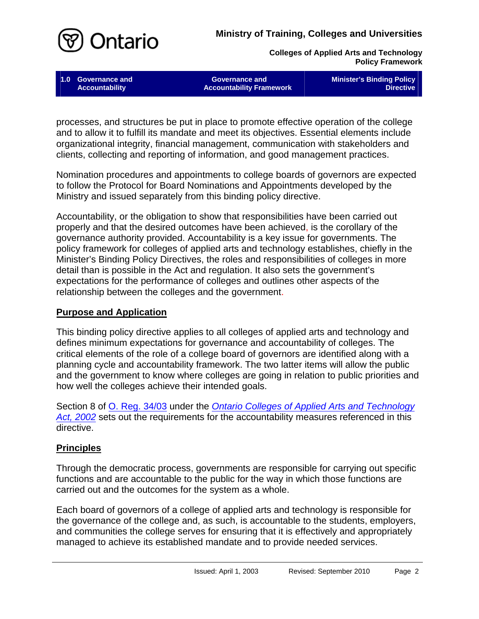

**Colleges of Applied Arts and Technology Policy Framework**

**1.0 Governance and Accountability** 

**Governance and Accountability Framework**  **Minister's Binding Policy Directive** 

processes, and structures be put in place to promote effective operation of the college and to allow it to fulfill its mandate and meet its objectives. Essential elements include organizational integrity, financial management, communication with stakeholders and clients, collecting and reporting of information, and good management practices.

Nomination procedures and appointments to college boards of governors are expected to follow the Protocol for Board Nominations and Appointments developed by the Ministry and issued separately from this binding policy directive.

Accountability, or the obligation to show that responsibilities have been carried out properly and that the desired outcomes have been achieved, is the corollary of the governance authority provided. Accountability is a key issue for governments. The policy framework for colleges of applied arts and technology establishes, chiefly in the Minister's Binding Policy Directives, the roles and responsibilities of colleges in more detail than is possible in the Act and regulation. It also sets the government's expectations for the performance of colleges and outlines other aspects of the relationship between the colleges and the government.

## <span id="page-3-0"></span>**Purpose and Application**

This binding policy directive applies to all colleges of applied arts and technology and defines minimum expectations for governance and accountability of colleges. The critical elements of the role of a college board of governors are identified along with a planning cycle and accountability framework. The two latter items will allow the public and the government to know where colleges are going in relation to public priorities and how well the colleges achieve their intended goals.

Section 8 of [O. Reg. 34/03](http://www.e-laws.gov.on.ca/DBLaws/Regs/English/030034_e.htm) under the *[Ontario Colleges of Applied Arts and Technology](http://www.e-laws.gov.on.ca/DBLaws/Statutes/English/02o08f_e.htm)*  [Act, 2002](http://www.e-laws.gov.on.ca/DBLaws/Statutes/English/02o08f_e.htm) sets out the requirements for the accountability measures referenced in this directive.

#### <span id="page-3-1"></span>**Principles**

Through the democratic process, governments are responsible for carrying out specific functions and are accountable to the public for the way in which those functions are carried out and the outcomes for the system as a whole.

Each board of governors of a college of applied arts and technology is responsible for the governance of the college and, as such, is accountable to the students, employers, and communities the college serves for ensuring that it is effectively and appropriately managed to achieve its established mandate and to provide needed services.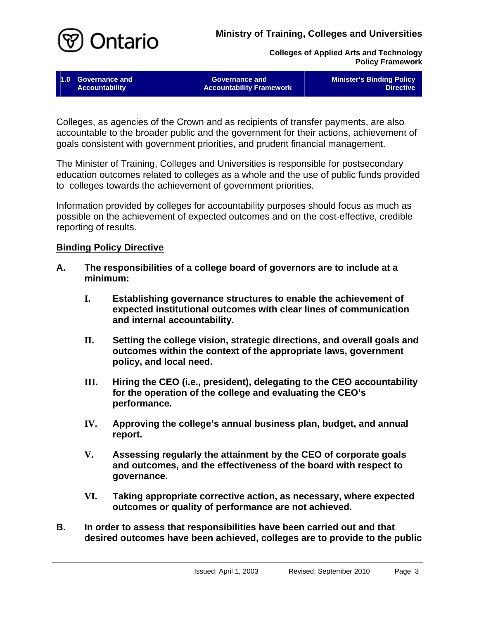

**Colleges of Applied Arts and Technology Policy Framework**

**1.0 Governance and Accountability** 

**Governance and Accountability Framework**  **Minister's Binding Policy Directive** 

Colleges, as agencies of the Crown and as recipients of transfer payments, are also accountable to the broader public and the government for their actions, achievement of goals consistent with government priorities, and prudent financial management.

The Minister of Training, Colleges and Universities is responsible for postsecondary education outcomes related to colleges as a whole and the use of public funds provided to colleges towards the achievement of government priorities.

Information provided by colleges for accountability purposes should focus as much as possible on the achievement of expected outcomes and on the cost-effective, credible reporting of results.

#### <span id="page-4-0"></span>**Binding Policy Directive**

- **A. The responsibilities of a college board of governors are to include at a minimum:**
	- **I. Establishing governance structures to enable the achievement of expected institutional outcomes with clear lines of communication and internal accountability.**
	- **II. Setting the college vision, strategic directions, and overall goals and outcomes within the context of the appropriate laws, government policy, and local need.**
	- **III. Hiring the CEO (i.e., president), delegating to the CEO accountability for the operation of the college and evaluating the CEO's performance.**
	- **IV. Approving the college's annual business plan, budget, and annual report.**
	- **V. Assessing regularly the attainment by the CEO of corporate goals and outcomes, and the effectiveness of the board with respect to governance.**
	- **VI. Taking appropriate corrective action, as necessary, where expected outcomes or quality of performance are not achieved.**
- **B. In order to assess that responsibilities have been carried out and that desired outcomes have been achieved, colleges are to provide to the public**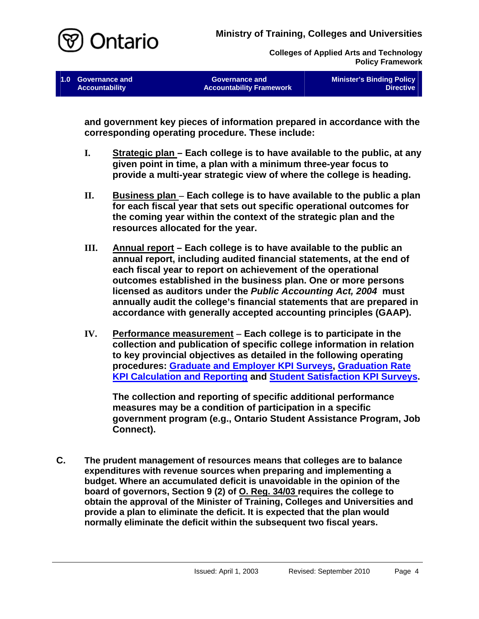

**Colleges of Applied Arts and Technology Policy Framework**

**1.0 Governance and Accountability** 

**Governance and Accountability Framework**  **Minister's Binding Policy Directive** 

**and government key pieces of information prepared in accordance with the corresponding operating procedure. These include:**

- **I. Strategic plan Each college is to have available to the public, at any given point in time, a plan with a minimum three-year focus to provide a multi-year strategic view of where the college is heading.**
- **II. Business plan Each college is to have available to the public a plan for each fiscal year that sets out specific operational outcomes for the coming year within the context of the strategic plan and the resources allocated for the year.**
- **III. Annual report Each college is to have available to the public an annual report, including audited financial statements, at the end of each fiscal year to report on achievement of the operational outcomes established in the business plan. One or more persons licensed as auditors under the** *Public Accounting Act, 2004* **must annually audit the college's financial statements that are prepared in accordance with generally accepted accounting principles (GAAP).**
- **IV. Performance measurement Each college is to participate in the collection and publication of specific college information in relation to key provincial objectives as detailed in the following operating procedures: [Graduate and Employer KPI Surveys](http:/PolicyFramework/KPI-GraduateSurveys.pdf), [Graduation Rate](http:/PolicyFramework/KPI-GraduationRate.pdf) [KPI Calculation and Reporting](http:/PolicyFramework/KPI-GraduationRate.pdf) and [Student Satisfaction KPI Surveys.](http:/PolicyFramework/KPI-StudentSatisfaction.pdf)**

**The collection and reporting of specific additional performance measures may be a condition of participation in a specific government program (e.g., Ontario Student Assistance Program, Job Connect).**

**C. The prudent management of resources means that colleges are to balance expenditures with revenue sources when preparing and implementing a budget. Where an accumulated deficit is unavoidable in the opinion of the board of governors, Section 9 (2) of O. Reg. 34/03 requires the college to obtain the approval of the Minister of Training, Colleges and Universities and provide a plan to eliminate the deficit. It is expected that the plan would normally eliminate the deficit within the subsequent two fiscal years.**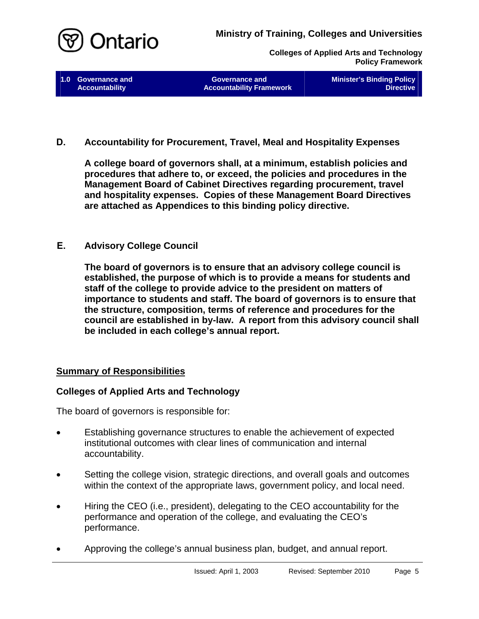

**Colleges of Applied Arts and Technology Policy Framework**

**1.0 Governance and Accountability** 

**Governance and Accountability Framework**  **Minister's Binding Policy Directive** 

**D. Accountability for Procurement, Travel, Meal and Hospitality Expenses**

**A college board of governors shall, at a minimum, establish policies and procedures that adhere to, or exceed, the policies and procedures in the Management Board of Cabinet Directives regarding procurement, travel and hospitality expenses. Copies of these Management Board Directives are attached as Appendices to this binding policy directive.**

## **E. Advisory College Council**

**The board of governors is to ensure that an advisory college council is established, the purpose of which is to provide a means for students and staff of the college to provide advice to the president on matters of importance to students and staff. The board of governors is to ensure that the structure, composition, terms of reference and procedures for the council are established in by-law. A report from this advisory council shall be included in each college's annual report.** 

#### <span id="page-6-0"></span>**Summary of Responsibilities**

#### <span id="page-6-1"></span>**Colleges of Applied Arts and Technology**

The board of governors is responsible for:

- Establishing governance structures to enable the achievement of expected institutional outcomes with clear lines of communication and internal accountability.
- Setting the college vision, strategic directions, and overall goals and outcomes within the context of the appropriate laws, government policy, and local need.
- Hiring the CEO (i.e., president), delegating to the CEO accountability for the performance and operation of the college, and evaluating the CEO's performance.
- Approving the college's annual business plan, budget, and annual report.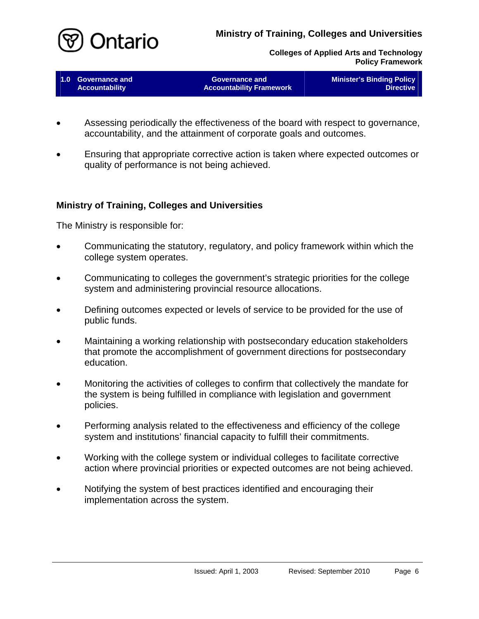

**Colleges of Applied Arts and Technology Policy Framework**

| 1.0 Governance and    | <b>Governance and</b>           | <b>Minister's Binding Policy</b> |
|-----------------------|---------------------------------|----------------------------------|
| <b>Accountability</b> | <b>Accountability Framework</b> | <b>Directive</b>                 |
|                       |                                 |                                  |

- Assessing periodically the effectiveness of the board with respect to governance, accountability, and the attainment of corporate goals and outcomes.
- Ensuring that appropriate corrective action is taken where expected outcomes or quality of performance is not being achieved.

#### <span id="page-7-0"></span>**Ministry of Training, Colleges and Universities**

The Ministry is responsible for:

- Communicating the statutory, regulatory, and policy framework within which the college system operates.
- Communicating to colleges the government's strategic priorities for the college system and administering provincial resource allocations.
- Defining outcomes expected or levels of service to be provided for the use of public funds.
- Maintaining a working relationship with postsecondary education stakeholders that promote the accomplishment of government directions for postsecondary education.
- Monitoring the activities of colleges to confirm that collectively the mandate for the system is being fulfilled in compliance with legislation and government policies.
- Performing analysis related to the effectiveness and efficiency of the college system and institutions' financial capacity to fulfill their commitments.
- Working with the college system or individual colleges to facilitate corrective action where provincial priorities or expected outcomes are not being achieved.
- Notifying the system of best practices identified and encouraging their implementation across the system.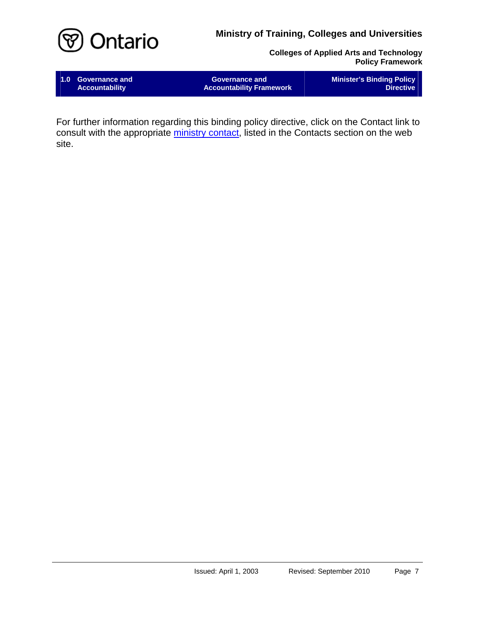

**Colleges of Applied Arts and Technology Policy Framework**

**1.0 Governance and Accountability** 

**Governance and Accountability Framework**  **Minister's Binding Policy Directive** 

For further information regarding this binding policy directive, click on the Contact link to consult with the appropriate [ministry contact,](http:/HTML/CAAT-Contacts.htm#Governance_and_Accountability) listed in the Contacts section on the web site.